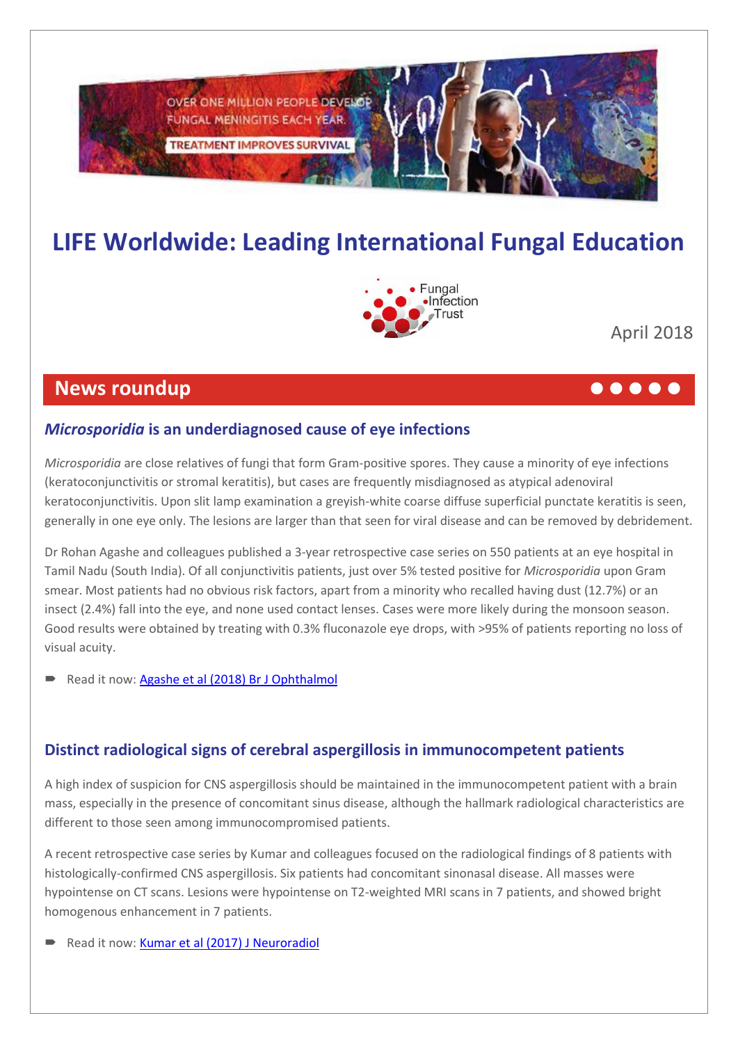

# **LIFE Worldwide: Leading International Fungal Education**



April 2018

## **News roundup**

### *Microsporidia* **is an underdiagnosed cause of eye infections**

*Microsporidia* are close relatives of fungi that form Gram-positive spores. They cause a minority of eye infections (keratoconjunctivitis or stromal keratitis), but cases are frequently misdiagnosed as atypical adenoviral keratoconjunctivitis. Upon slit lamp examination a greyish-white coarse diffuse superficial punctate keratitis is seen, generally in one eye only. The lesions are larger than that seen for viral disease and can be removed by debridement.

Dr Rohan Agashe and colleagues published a 3-year retrospective case series on 550 patients at an eye hospital in Tamil Nadu (South India). Of all conjunctivitis patients, just over 5% tested positive for *Microsporidia* upon Gram smear. Most patients had no obvious risk factors, apart from a minority who recalled having dust (12.7%) or an insect (2.4%) fall into the eye, and none used contact lenses. Cases were more likely during the monsoon season. Good results were obtained by treating with 0.3% fluconazole eye drops, with >95% of patients reporting no loss of visual acuity.

Read it now[: Agashe et al \(2018\)](http://www.life-worldwide.org/assets/uploads/files/agashemicrosporidia.pdf) Br J Ophthalmol

### **Distinct radiological signs of cerebral aspergillosis in immunocompetent patients**

A high index of suspicion for CNS aspergillosis should be maintained in the immunocompetent patient with a brain mass, especially in the presence of concomitant sinus disease, although the hallmark radiological characteristics are different to those seen among immunocompromised patients.

A recent retrospective case series by Kumar and colleagues focused on the radiological findings of 8 patients with histologically-confirmed CNS aspergillosis. Six patients had concomitant sinonasal disease. All masses were hypointense on CT scans. Lesions were hypointense on T2-weighted MRI scans in 7 patients, and showed bright homogenous enhancement in 7 patients.

Read it now[: Kumar et al \(2017\) J Neuroradiol](http://life-worldwide.org/assets/uploads/files/KumarCNSaspergilloma.pdf)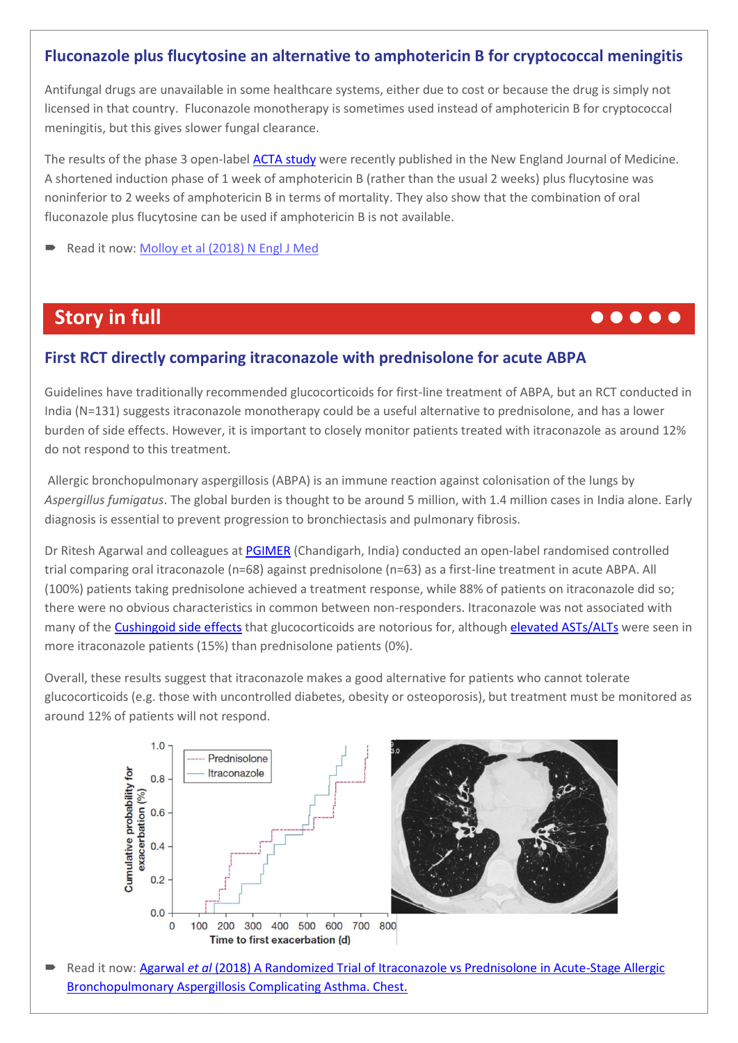### **Fluconazole plus flucytosine an alternative to amphotericin B for cryptococcal meningitis**

Antifungal drugs are unavailable in some healthcare systems, either due to cost or because the drug is simply not licensed in that country. Fluconazole monotherapy is sometimes used instead of amphotericin B for cryptococcal meningitis, but this gives slower fungal clearance.

The results of the phase 3 open-label [ACTA study](http://dignitasinternational.org/research/the-acta-study/) were recently published in the New England Journal of Medicine. A shortened induction phase of 1 week of amphotericin B (rather than the usual 2 weeks) plus flucytosine was noninferior to 2 weeks of amphotericin B in terms of mortality. They also show that the combination of oral fluconazole plus flucytosine can be used if amphotericin B is not available.

Read it now: Molloy [et al \(2018\) N Engl J Med](http://www.nejm.org/doi/10.1056/NEJMoa1710922?url_ver=Z39.88-2003&rfr_id=ori:rid:crossref.org&rfr_dat=cr_pub%3dwww.ncbi.nlm.nih.gov) 

## **Story in full and the contract of the contract of the contract of the contract of the contract of the contract of the contract of the contract of the contract of the contract of the contract of the contract of the contrac**

### **First RCT directly comparing itraconazole with prednisolone for acute ABPA**

Guidelines have traditionally recommended glucocorticoids for first-line treatment of ABPA, but an RCT conducted in India (N=131) suggests itraconazole monotherapy could be a useful alternative to prednisolone, and has a lower burden of side effects. However, it is important to closely monitor patients treated with itraconazole as around 12% do not respond to this treatment.

Allergic bronchopulmonary aspergillosis (ABPA) is an immune reaction against colonisation of the lungs by *Aspergillus fumigatus*. The global burden is thought to be around 5 million, with 1.4 million cases in India alone. Early diagnosis is essential to prevent progression to bronchiectasis and pulmonary fibrosis.

Dr Ritesh Agarwal and colleagues at [PGIMER](http://pgimer.edu.in/PGIMER_PORTAL/PGIMERPORTAL/home.jsp) (Chandigarh, India) conducted an open-label randomised controlled trial comparing oral itraconazole (n=68) against prednisolone (n=63) as a first-line treatment in acute ABPA. All (100%) patients taking prednisolone achieved a treatment response, while 88% of patients on itraconazole did so; there were no obvious characteristics in common between non-responders. Itraconazole was not associated with many of the [Cushingoid side effects](https://www.medicinenet.com/script/main/art.asp?articlekey=9080) that glucocorticoids are notorious for, although [elevated ASTs/ALTs](https://www.healthline.com/health/transaminitis) were seen in more itraconazole patients (15%) than prednisolone patients (0%).

Overall, these results suggest that itraconazole makes a good alternative for patients who cannot tolerate glucocorticoids (e.g. those with uncontrolled diabetes, obesity or osteoporosis), but treatment must be monitored as around 12% of patients will not respond.



Read it now: Agarwal et al (2018) A Randomized Trial of Itraconazole vs Prednisolone in Acute-Stage Allergic [Bronchopulmonary Aspergillosis Complicating Asthma. Chest.](http://life-worldwide.org/assets/uploads/files/AgarwalIvP2018.pdf)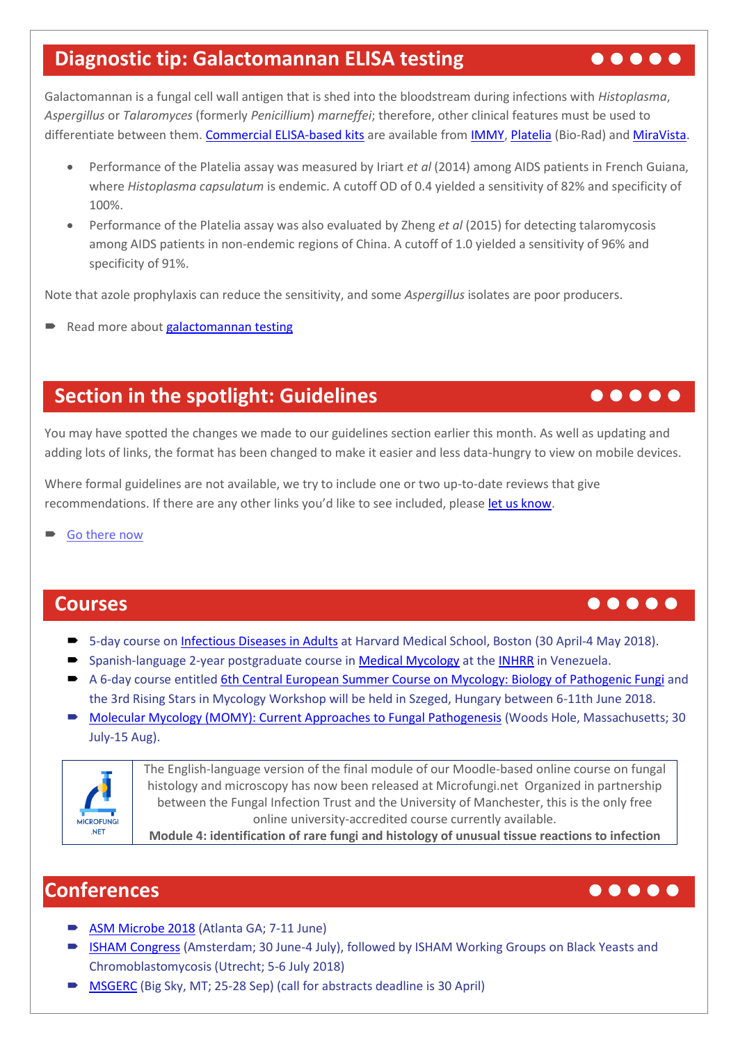## **Diagnostic tip: Galactomannan ELISA testing**  $\bullet \bullet \bullet \bullet \bullet \bullet$

Galactomannan is a fungal cell wall antigen that is shed into the bloodstream during infections with *Histoplasma*, *Aspergillus* or *Talaromyces* (formerly *Penicillium*) *marneffei*; therefore, other clinical features must be used to differentiate between them. Commercial [ELISA-based](http://www.life-worldwide.org/fungal-diseases/antigen-testing) kits are available from [IMMY,](http://www.immy.com/products/histoplasma-antigen-enzyme-immunoassay-eia/) [Platelia](http://www.bio-rad.com/webroot/web/pdf/inserts/CDG/en/62794_881115_EN.pdf) (Bio-Rad) an[d MiraVista.](http://www.life-worldwide.org/assets/uploads/files/Clin%20Infect%20Dis_-2016-Richer-896-902.pdf)

- Performance of the Platelia assay was measured by Iriart *et al* (2014) among AIDS patients in French Guiana, where *Histoplasma capsulatum* is endemic. A cutoff OD of 0.4 yielded a sensitivity of 82% and specificity of 100%.
- Performance of the Platelia assay was also evaluated by Zheng *et al* (2015) for detecting talaromycosis among AIDS patients in non-endemic regions of China. A cutoff of 1.0 yielded a sensitivity of 96% and specificity of 91%.

Note that azole prophylaxis can reduce the sensitivity, and some *Aspergillus* isolates are poor producers.

Read more about **galactomannan testing** 

## **Section in the spotlight: Guidelines** *Section in the spotlight: Guidelines*

You may have spotted the changes we made to our guidelines section earlier this month. As well as updating and adding lots of links, the format has been changed to make it easier and less data-hungry to view on mobile devices.

Where formal guidelines are not available, we try to include one or two up-to-date reviews that give recommendations. If there are any other links you'd like to see included, please [let us know.](mailto:info@life-worldwide.org?subject=Guidelines%20section)

[Go there](http://life-worldwide.org/fungal-diseases/guidelines) now

## **Courses and Courses and Courses and Courses and Courses and Courses and Courses and Courses and Courses and**

- 5-day course on [Infectious Diseases in Adults](https://id.hmscme.com/) at Harvard Medical School, Boston (30 April-4 May 2018).
- Spanish-language 2-year postgraduate course in [Medical Mycology](https://www.google.co.uk/url?sa=t&rct=j&q=&esrc=s&source=web&cd=2&cad=rja&uact=8&ved=0ahUKEwii6MPun_HYAhUBIcAKHXE7AqgQFggsMAE&url=http%3A%2F%2Fwww.life-worldwide.org%2Fassets%2Fuploads%2Ffiles%2FVenezuelan%2520Medical%2520Mycology%2520postgraduate%2520course%25255b1%25255d.doc&usg=AOvVaw0OvJQWHisWHy7zDxydrtTc) at the [INHRR](http://www.inhrr.gob.ve/) in Venezuela.
- A 6-day course entitled [6th Central European Summer Course on Mycology: Biology of Pathogenic Fungi](http://www.cesc.hu/) and the 3rd Rising Stars in Mycology Workshop will be held in Szeged, Hungary between 6-11th June 2018.
- [Molecular Mycology \(MOMY\): Current Approaches to Fungal Pathogenesis](http://www.mbl.edu/education/courses/molecular-mycology/) (Woods Hole, Massachusetts; 30 July-15 Aug).



The English-language version of the final module of our Moodle-based online course on fungal histology and microscopy has now been released at Microfungi.net Organized in partnership between the Fungal Infection Trust and the University of Manchester, this is the only free online university-accredited course currently available.

**Module 4: identification of rare fungi and histology of unusual tissue reactions to infection**

## **Conferences**

- [ASM Microbe 2018](http://www.asmmicrobe.org/) (Atlanta GA; 7-11 June)
- **[ISHAM Congress](http://www.isham2018.org/en/Home_10_6_12.html)** (Amsterdam; 30 June-4 July), followed by ISHAM Working Groups on Black Yeasts and Chromoblastomycosis (Utrecht; 5-6 July 2018)
- [MSGERC](http://www.msgerc.org/) (Big Sky, MT; 25-28 Sep) (call for abstracts deadline is 30 April)